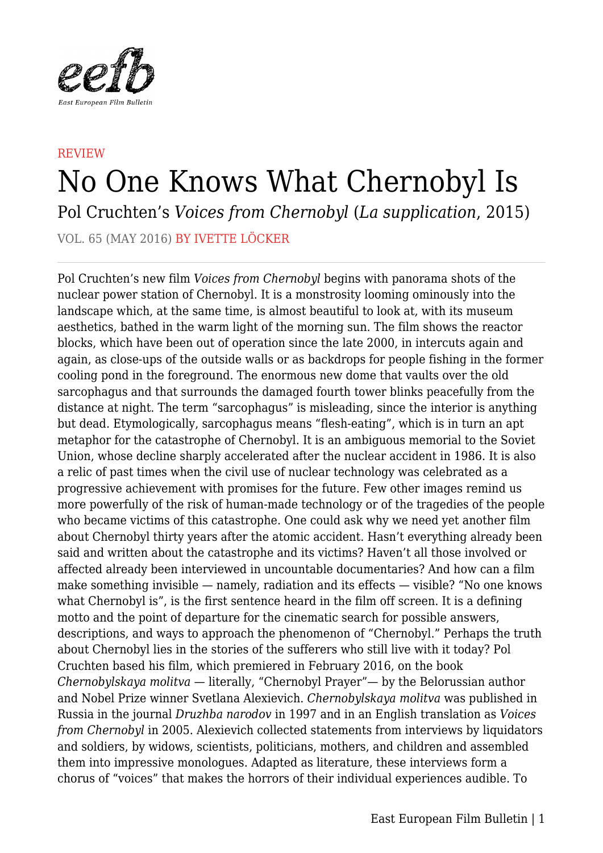

## REVIEW No One Knows What Chernobyl Is Pol Cruchten's *Voices from Chernobyl* (*La supplication*, 2015)

VOL. 65 (MAY 2016) BY IVETTE LÖCKER

Pol Cruchten's new film *Voices from Chernobyl* begins with panorama shots of the nuclear power station of Chernobyl. It is a monstrosity looming ominously into the landscape which, at the same time, is almost beautiful to look at, with its museum aesthetics, bathed in the warm light of the morning sun. The film shows the reactor blocks, which have been out of operation since the late 2000, in intercuts again and again, as close-ups of the outside walls or as backdrops for people fishing in the former cooling pond in the foreground. The enormous new dome that vaults over the old sarcophagus and that surrounds the damaged fourth tower blinks peacefully from the distance at night. The term "sarcophagus" is misleading, since the interior is anything but dead. Etymologically, sarcophagus means "flesh-eating", which is in turn an apt metaphor for the catastrophe of Chernobyl. It is an ambiguous memorial to the Soviet Union, whose decline sharply accelerated after the nuclear accident in 1986. It is also a relic of past times when the civil use of nuclear technology was celebrated as a progressive achievement with promises for the future. Few other images remind us more powerfully of the risk of human-made technology or of the tragedies of the people who became victims of this catastrophe. One could ask why we need yet another film about Chernobyl thirty years after the atomic accident. Hasn't everything already been said and written about the catastrophe and its victims? Haven't all those involved or affected already been interviewed in uncountable documentaries? And how can a film make something invisible — namely, radiation and its effects — visible? "No one knows what Chernobyl is", is the first sentence heard in the film off screen. It is a defining motto and the point of departure for the cinematic search for possible answers, descriptions, and ways to approach the phenomenon of "Chernobyl." Perhaps the truth about Chernobyl lies in the stories of the sufferers who still live with it today? Pol Cruchten based his film, which premiered in February 2016, on the book *Chernobylskaya molitva* — literally, "Chernobyl Prayer"— by the Belorussian author and Nobel Prize winner Svetlana Alexievich. *Chernobylskaya molitva* was published in Russia in the journal *Druzhba narodov* in 1997 and in an English translation as *Voices from Chernobyl* in 2005. Alexievich collected statements from interviews by liquidators and soldiers, by widows, scientists, politicians, mothers, and children and assembled them into impressive monologues. Adapted as literature, these interviews form a chorus of "voices" that makes the horrors of their individual experiences audible. To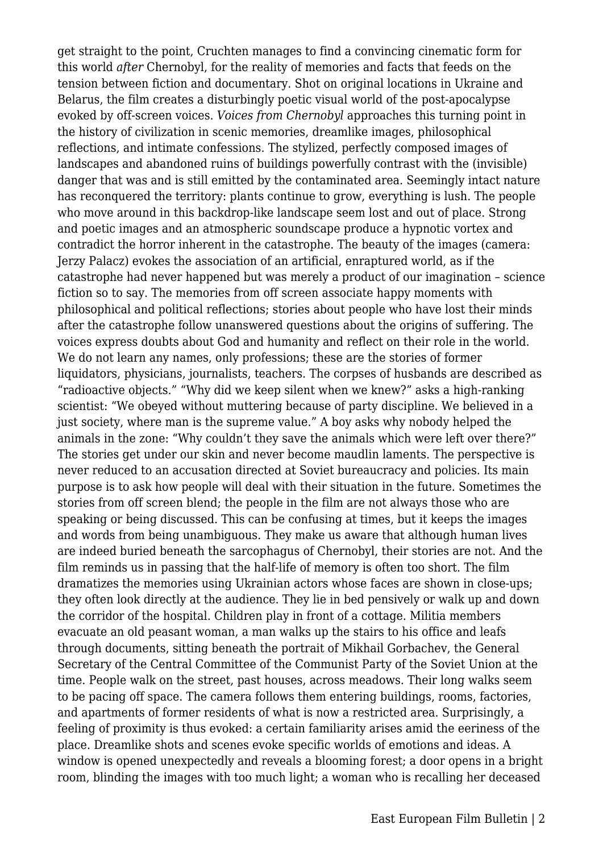get straight to the point, Cruchten manages to find a convincing cinematic form for this world *after* Chernobyl, for the reality of memories and facts that feeds on the tension between fiction and documentary. Shot on original locations in Ukraine and Belarus, the film creates a disturbingly poetic visual world of the post-apocalypse evoked by off-screen voices. *Voices from Chernobyl* approaches this turning point in the history of civilization in scenic memories, dreamlike images, philosophical reflections, and intimate confessions. The stylized, perfectly composed images of landscapes and abandoned ruins of buildings powerfully contrast with the (invisible) danger that was and is still emitted by the contaminated area. Seemingly intact nature has reconquered the territory: plants continue to grow, everything is lush. The people who move around in this backdrop-like landscape seem lost and out of place. Strong and poetic images and an atmospheric soundscape produce a hypnotic vortex and contradict the horror inherent in the catastrophe. The beauty of the images (camera: Jerzy Palacz) evokes the association of an artificial, enraptured world, as if the catastrophe had never happened but was merely a product of our imagination – science fiction so to say. The memories from off screen associate happy moments with philosophical and political reflections; stories about people who have lost their minds after the catastrophe follow unanswered questions about the origins of suffering. The voices express doubts about God and humanity and reflect on their role in the world. We do not learn any names, only professions; these are the stories of former liquidators, physicians, journalists, teachers. The corpses of husbands are described as "radioactive objects." "Why did we keep silent when we knew?" asks a high-ranking scientist: "We obeyed without muttering because of party discipline. We believed in a just society, where man is the supreme value." A boy asks why nobody helped the animals in the zone: "Why couldn't they save the animals which were left over there?" The stories get under our skin and never become maudlin laments. The perspective is never reduced to an accusation directed at Soviet bureaucracy and policies. Its main purpose is to ask how people will deal with their situation in the future. Sometimes the stories from off screen blend; the people in the film are not always those who are speaking or being discussed. This can be confusing at times, but it keeps the images and words from being unambiguous. They make us aware that although human lives are indeed buried beneath the sarcophagus of Chernobyl, their stories are not. And the film reminds us in passing that the half-life of memory is often too short. The film dramatizes the memories using Ukrainian actors whose faces are shown in close-ups; they often look directly at the audience. They lie in bed pensively or walk up and down the corridor of the hospital. Children play in front of a cottage. Militia members evacuate an old peasant woman, a man walks up the stairs to his office and leafs through documents, sitting beneath the portrait of Mikhail Gorbachev, the General Secretary of the Central Committee of the Communist Party of the Soviet Union at the time. People walk on the street, past houses, across meadows. Their long walks seem to be pacing off space. The camera follows them entering buildings, rooms, factories, and apartments of former residents of what is now a restricted area. Surprisingly, a feeling of proximity is thus evoked: a certain familiarity arises amid the eeriness of the place. Dreamlike shots and scenes evoke specific worlds of emotions and ideas. A window is opened unexpectedly and reveals a blooming forest; a door opens in a bright room, blinding the images with too much light; a woman who is recalling her deceased